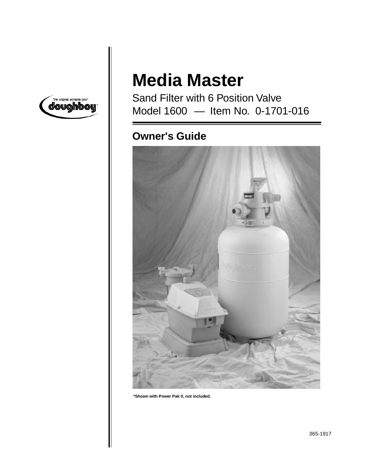

# **Media Master**

Sand Filter with 6 Position Valve Model 1600 — Item No. 0-1701-016

## **Owner's Guide**



**\*Shown with Power Pak II, not included.**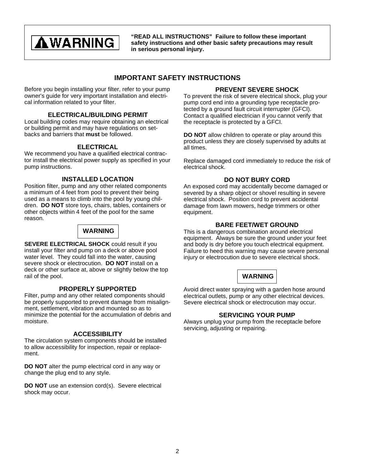## **AWARNING**

**"READ ALL INSTRUCTIONS" Failure to follow these important safety instructions and other basic safety precautions may result in serious personal injury.**

## **IMPORTANT SAFETY INSTRUCTIONS**

Before you begin installing your filter, refer to your pump owner's guide for very important installation and electrical information related to your filter.

#### **ELECTRICAL/BUILDING PERMIT**

Local building codes may require obtaining an electrical or building permit and may have regulations on setbacks and barriers that **must** be followed.

#### **ELECTRICAL**

We recommend you have a qualified electrical contractor install the electrical power supply as specified in your pump instructions.

#### **INSTALLED LOCATION**

Position filter, pump and any other related components a minimum of 4 feet from pool to prevent their being used as a means to climb into the pool by young children. **DO NOT** store toys, chairs, tables, containers or other objects within 4 feet of the pool for the same reason.

### **WARNING**

**SEVERE ELECTRICAL SHOCK** could result if you install your filter and pump on a deck or above pool water level. They could fall into the water, causing severe shock or electrocution. **DO NOT** install on a deck or other surface at, above or slightly below the top rail of the pool.

#### **PROPERLY SUPPORTED**

Filter, pump and any other related components should be properly supported to prevent damage from misalignment, settlement, vibration and mounted so as to minimize the potential for the accumulation of debris and moisture.

#### **ACCESSIBILITY**

The circulation system components should be installed to allow accessibility for inspection, repair or replacement.

**DO NOT** alter the pump electrical cord in any way or change the plug end to any style.

**DO NOT** use an extension cord(s). Severe electrical shock may occur.

#### **PREVENT SEVERE SHOCK**

To prevent the risk of severe electrical shock, plug your pump cord end into a grounding type receptacle protected by a ground fault circuit interrupter (GFCI). Contact a qualified electrician if you cannot verify that the receptacle is protected by a GFCI.

**DO NOT** allow children to operate or play around this product unless they are closely supervised by adults at all times.

Replace damaged cord immediately to reduce the risk of electrical shock.

#### **DO NOT BURY CORD**

An exposed cord may accidentally become damaged or severed by a sharp object or shovel resulting in severe electrical shock. Position cord to prevent accidental damage from lawn mowers, hedge trimmers or other equipment.

#### **BARE FEET/WET GROUND**

This is a dangerous combination around electrical equipment. Always be sure the ground under your feet and body is dry before you touch electrical equipment. Failure to heed this warning may cause severe personal injury or electrocution due to severe electrical shock.



Avoid direct water spraying with a garden hose around electrical outlets, pump or any other electrical devices. Severe electrical shock or electrocution may occur.

#### **SERVICING YOUR PUMP**

Always unplug your pump from the receptacle before servicing, adjusting or repairing.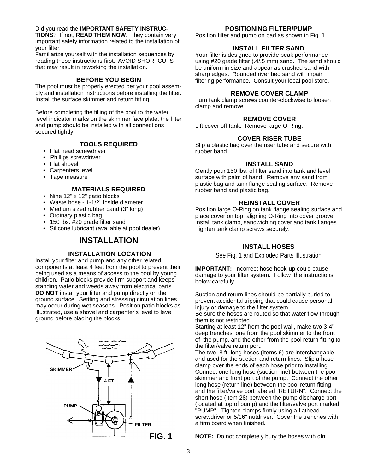#### Did you read the **IMPORTANT SAFETY INSTRUC-**

**TIONS**? If not, **READ THEM NOW**. They contain very important safety information related to the installation of your filter.

Familiarize yourself with the installation sequences by reading these instructions first. AVOID SHORTCUTS that may result in reworking the installation.

#### **BEFORE YOU BEGIN**

The pool must be properly erected per your pool assembly and installation instructions before installing the filter. Install the surface skimmer and return fitting.

Before completing the filling of the pool to the water level indicator marks on the skimmer face plate, the filter and pump should be installed with all connections secured tightly.

#### **TOOLS REQUIRED**

- Flat head screwdriver
- Phillips screwdriver
- Flat shovel
- Carpenters level
- Tape measure

#### **MATERIALS REQUIRED**

- Nine 12" x 12" patio blocks
- Waste hose 1-1/2" inside diameter
- Medium sized rubber band (3" long)
- Ordinary plastic bag
- 150 lbs. #20 grade filter sand
- Silicone lubricant (available at pool dealer)

## **INSTALLATION**

#### **INSTALLATION LOCATION**

Install your filter and pump and any other related components at least 4 feet from the pool to prevent their being used as a means of access to the pool by young children. Patio blocks provide firm support and keeps standing water and weeds away from electrical parts. **DO NOT** install your filter and pump directly on the ground surface. Settling and stressing circulation lines may occur during wet seasons. Position patio blocks as illustrated, use a shovel and carpenter's level to level ground before placing the blocks.



#### **POSITIONING FILTER/PUMP**

Position filter and pump on pad as shown in Fig. 1.

#### **INSTALL FILTER SAND**

Your filter is designed to provide peak performance using #20 grade filter (.4/.5 mm) sand. The sand should be uniform in size and appear as crushed sand with sharp edges. Rounded river bed sand will impair filtering performance. Consult your local pool store.

#### **REMOVE COVER CLAMP**

Turn tank clamp screws counter-clockwise to loosen clamp and remove.

#### **REMOVE COVER**

Lift cover off tank. Remove large O-Ring.

#### **COVER RISER TUBE**

Slip a plastic bag over the riser tube and secure with rubber band.

#### **INSTALL SAND**

Gently pour 150 lbs. of filter sand into tank and level surface with palm of hand. Remove any sand from plastic bag and tank flange sealing surface. Remove rubber band and plastic bag.

#### **REINSTALL COVER**

Position large O-Ring on tank flange sealing surface and place cover on top, aligning O-Ring into cover groove. Install tank clamp, sandwiching cover and tank flanges. Tighten tank clamp screws securely.

#### **INSTALL HOSES**

See Fig. 1 and Exploded Parts Illustration

**IMPORTANT:** Incorrect hose hook-up could cause damage to your filter system. Follow the instructions below carefully.

Suction and return lines should be partially buried to prevent accidental tripping that could cause personal injury or damage to the filter system.

Be sure the hoses are routed so that water flow through them is not restricted.

Starting at least 12" from the pool wall, make two 3-4" deep trenches, one from the pool skimmer to the front of the pump, and the other from the pool return fitting to the filter/valve return port.

The two 8 ft. long hoses (Items 6) are interchangable and used for the suction and return lines. Slip a hose clamp over the ends of each hose prior to installing. Connect one long hose (suction line) between the pool skimmer and front port of the pump. Connect the other long hose (return line) between the pool return fitting and the filter/valve port labeled "RETURN". Connect the short hose (Item 28) between the pump discharge port (located at top of pump) and the filter/valve port marked "PUMP". Tighten clamps firmly using a flathead screwdriver or 5/16" nutdriver. Cover the trenches with a firm board when finished.

**NOTE:** Do not completely bury the hoses with dirt.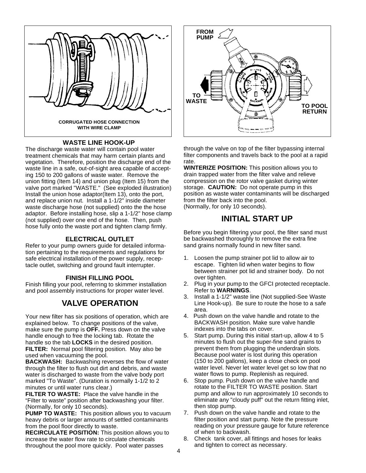

#### **WASTE LINE HOOK-UP**

The discharge waste water will contain pool water treatment chemicals that may harm certain plants and vegetation. Therefore, position the discharge end of the waste line in a safe, out-of-sight area capable of accepting 150 to 200 gallons of waste water. Remove the union fitting (Item 14) and union plug (Item 15) from the valve port marked "WASTE." (See exploded illustration) Install the union hose adaptor(Item 13), onto the port, and replace union nut. Install a 1-1/2" inside diameter waste discharge hose (not supplied) onto the the hose adaptor. Before installing hose, slip a 1-1/2" hose clamp (not supplied) over one end of the hose. Then, push hose fully onto the waste port and tighten clamp firmly.

#### **ELECTRICAL OUTLET**

Refer to your pump owners guide for detailed information pertaining to the requirements and regulations for safe electrical installation of the power supply, receptacle outlet, switching and ground fault interrupter.

#### **FINISH FILLING POOL**

Finish filling your pool, referring to skimmer installation and pool assembly instructions for proper water level.

## **VALVE OPERATION**

Your new filter has six positions of operation, which are explained below. To change positions of the valve, make sure the pump is **OFF.** Press down on the valve handle enough to free the locking tab. Rotate the handle so the tab **LOCKS** in the desired position. **FILTER:** Normal pool filtering position. May also be used when vacuuming the pool.

**BACKWASH:** Backwashing reverses the flow of water through the filter to flush out dirt and debris, and waste water is discharged to waste from the valve body port marked "To Waste". (Duration is normally 1-1/2 to 2 minutes or until water runs clear.)

**FILTER TO WASTE:** Place the valve handle in the "Filter to waste" position after backwashing your filter. (Normally, for only 10 seconds).

**PUMP TO WASTE:** This position allows you to vacuum heavy debris or larger amounts of settled contaminants from the pool floor directly to waste.

**RECIRCULATE POSITION:** This position allows you to increase the water flow rate to circulate chemicals throughout the pool more quickly. Pool water passes



through the valve on top of the filter bypassing internal filter components and travels back to the pool at a rapid rate.

**WINTERIZE POSITION:** This position allows you to drain trapped water from the filter valve and relieve compression on the rotor valve gasket during winter storage. **CAUTION:** Do not operate pump in this position as waste water contaminants will be discharged from the filter back into the pool. (Normally, for only 10 seconds).

## **INITIAL START UP**

Before you begin filtering your pool, the filter sand must be backwashed thoroughly to remove the extra fine sand grains normally found in new filter sand.

- 1. Loosen the pump strainer pot lid to allow air to escape. Tighten lid when water begins to flow between strainer pot lid and strainer body. Do not over tighten.
- 2. Plug in your pump to the GFCI protected receptacle. Refer to **WARNINGS**.
- 3. Install a 1-1/2" waste line (Not supplied-See Waste Line Hook-up). Be sure to route the hose to a safe area.
- 4. Push down on the valve handle and rotate to the BACKWASH position. Make sure valve handle indexes into the tabs on cover.
- 5. Start pump. During this initial start-up, allow 4 to 5 minutes to flush out the super-fine sand grains to prevent them from plugging the underdrain slots. Because pool water is lost during this operation (150 to 200 gallons), keep a close check on pool water level. Never let water level get so low that no water flows to pump. Replenish as required.
- 6. Stop pump. Push down on the valve handle and rotate to the FILTER TO WASTE position. Start pump and allow to run approximately 10 seconds to eliminate any "cloudy puff" out the return fitting inlet, then stop pump.
- 7. Push down on the valve handle and rotate to the filter position and start pump. Note the pressure reading on your pressure gauge for future reference of when to backwash.
- 8. Check tank cover, all fittings and hoses for leaks and tighten to correct as necessary.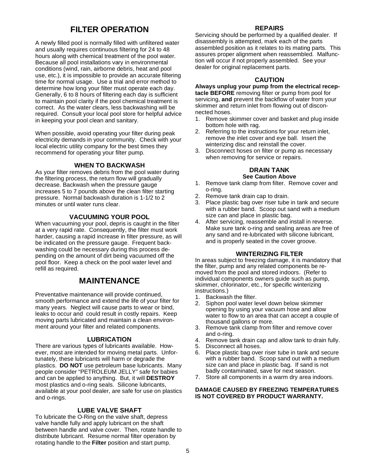## **FILTER OPERATION**

A newly filled pool is normally filled with unfiltered water and usually requires continuous filtering for 24 to 48 hours along with chemical treatment of the pool water. Because all pool installations vary in environmental conditions (wind, rain, airborne debris, heat and pool use, etc.), it is impossible to provide an accurate filtering time for normal usage. Use a trial and error method to determine how long your filter must operate each day. Generally, 6 to 8 hours of filtering each day is sufficient to maintain pool clarity if the pool chemical treatment is correct. As the water clears, less backwashing will be required. Consult your local pool store for helpful advice in keeping your pool clean and sanitary.

When possible, avoid operating your filter during peak electricity demands in your community. Check with your local electric utility company for the best times they recommend for operating your filter pump.

#### **WHEN TO BACKWASH**

As your filter removes debris from the pool water during the filtering process, the return flow will gradually decrease. Backwash when the pressure gauge increases 5 to 7 pounds above the clean filter starting pressure. Normal backwash duration is 1-1/2 to 2 minutes or until water runs clear.

#### **VACUUMING YOUR POOL**

When vacuuming your pool, depris is caught in the filter at a very rapid rate. Consequently, the filter must work harder, causing a rapid increase in filter pressure, as will be indicated on the pressure gauge. Frequent backwashing could be necessary during this process depending on the amount of dirt being vacuumed off the pool floor. Keep a check on the pool water level and refill as required.

### **MAINTENANCE**

Preventative maintenance will provide continued, smooth performance and extend the life of your filter for many years. Neglect will cause parts to wear or bind, leaks to occur and could result in costly repairs. Keep moving parts lubricated and maintain a clean environment around your filter and related components.

#### **LUBRICATION**

There are various types of lubricants available. However, most are intended for moving metal parts. Unfortunately, these lubricants will harm or degrade the plastics. **DO NOT** use petroleum base lubricants. Many people consider "PETROLEUM JELLY" safe for babies and can be applied to anything. But, it will **DESTROY** most plastics and o-ring seals. Silicone lubricants, available at your pool dealer, are safe for use on plastics and o-rings.

#### **LUBE VALVE SHAFT**

To lubricate the O-Ring on the valve shaft, depress valve handle fully and apply lubricant on the shaft between handle and valve cover. Then, rotate handle to distribute lubricant. Resume normal filter operation by rotating handle to the **Filter** position and start pump.

#### **REPAIRS**

Servicing should be performed by a qualified dealer. If disassembly is attempted, mark each of the parts assembled position as it relates to its mating parts. This assures proper alignment when reassembled. Malfunction will occur if not properly assembled. See your dealer for original replacement parts.

#### **CAUTION**

**Always unplug your pump from the electrical receptacle BEFORE** removing filter or pump from pool for servicing, **and** prevent the backflow of water from your skimmer and return inlet from flowing out of disconnected hoses.

- 1. Remove skimmer cover and basket and plug inside bottom hole with rag.
- 2. Referring to the instructions for your return inlet, remove the inlet cover and eye ball. Insert the winterizing disc and reinstall the cover.
- 3. Disconnect hoses on filter or pump as necessary when removing for service or repairs.

#### **DRAIN TANK See Caution Above**

- 1. Remove tank clamp from filter. Remove cover and o-ring.
- 2. Remove tank drain cap to drain.
- 3. Place plastic bag over riser tube in tank and secure with a rubber band. Scoop out sand with a medium size can and place in plastic bag.
- 4. After servicing, reassemble and install in reverse. Make sure tank o-ring and sealing areas are free of any sand and re-lubricated with silicone lubricant, and is properly seated in the cover groove.

#### **WINTERIZING FILTER**

In areas subject to freezing damage, it is mandatory that the filter, pump and any related components be removed from the pool and stored indoors. (Refer to individual components owners guide such as pump, skimmer, chlorinator, etc., for specific winterizing instructions.)

- 1. Backwash the filter.
- 2. Siphon pool water level down below skimmer opening by using your vacuum hose and allow water to flow to an area that can accept a couple of thousand gallons or more.
- 3. Remove tank clamp from filter and remove cover and o-ring.
- 4. Remove tank drain cap and allow tank to drain fully.
- 5. Disconnect all hoses.
- Place plastic bag over riser tube in tank and secure with a rubber band. Scoop sand out with a medium size can and place in plastic bag. If sand is not badly contaminated, save for next season.
- 7. Store all components in a warm dry area indoors.

#### **DAMAGE CAUSED BY FREEZING TEMPERATURES IS NOT COVERED BY PRODUCT WARRANTY.**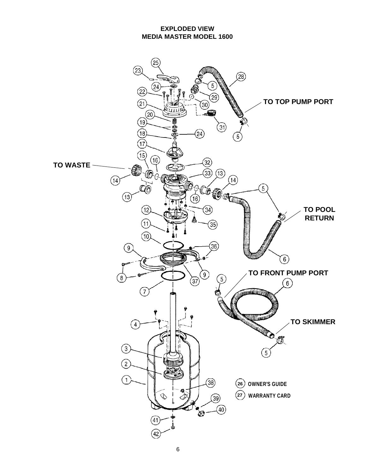**EXPLODED VIEW MEDIA MASTER MODEL 1600**

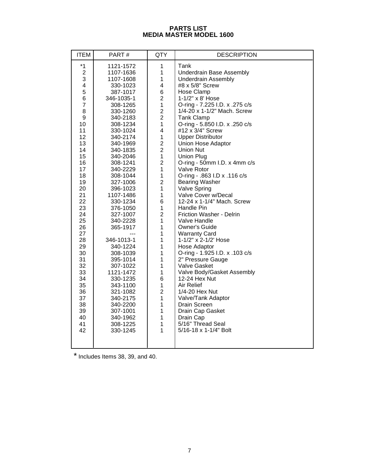#### **PARTS LIST MEDIA MASTER MODEL 1600**

| <b>ITEM</b>                                                                                                                                                                                                                                    | PART#                                                                                                                                                                                                                                                                                                                                                                                                                                                 | QTY                                                                                                                                                                                                                                                                                                                                                                                                                                                                                                                                                                  | <b>DESCRIPTION</b>                                                                                                                                                                                                                                                                                                                                                                                                                                                                                                                                                                                                                                                                                                                                                                                                                                             |
|------------------------------------------------------------------------------------------------------------------------------------------------------------------------------------------------------------------------------------------------|-------------------------------------------------------------------------------------------------------------------------------------------------------------------------------------------------------------------------------------------------------------------------------------------------------------------------------------------------------------------------------------------------------------------------------------------------------|----------------------------------------------------------------------------------------------------------------------------------------------------------------------------------------------------------------------------------------------------------------------------------------------------------------------------------------------------------------------------------------------------------------------------------------------------------------------------------------------------------------------------------------------------------------------|----------------------------------------------------------------------------------------------------------------------------------------------------------------------------------------------------------------------------------------------------------------------------------------------------------------------------------------------------------------------------------------------------------------------------------------------------------------------------------------------------------------------------------------------------------------------------------------------------------------------------------------------------------------------------------------------------------------------------------------------------------------------------------------------------------------------------------------------------------------|
| $*1$<br>$\overline{2}$<br>3<br>4<br>5<br>6<br>$\overline{7}$<br>8<br>9<br>10<br>11<br>12<br>13<br>14<br>15<br>16<br>17<br>18<br>19<br>20<br>21<br>22<br>23<br>24<br>25<br>26<br>27<br>28<br>29<br>30<br>31<br>32<br>33<br>34<br>35<br>36<br>37 | 1121-1572<br>1107-1636<br>1107-1608<br>330-1023<br>387-1017<br>346-1035-1<br>308-1265<br>330-1260<br>340-2183<br>308-1234<br>330-1024<br>340-2174<br>340-1969<br>340-1835<br>340-2046<br>308-1241<br>340-2229<br>308-1044<br>327-1006<br>396-1023<br>1107-1486<br>330-1234<br>376-1050<br>327-1007<br>340-2228<br>365-1917<br>346-1013-1<br>340-1224<br>308-1039<br>395-1014<br>307-1022<br>1121-1472<br>330-1235<br>343-1100<br>321-1082<br>340-2175 | 1<br>$\mathbf 1$<br>1<br>$\overline{\mathbf{4}}$<br>6<br>$\overline{2}$<br>$\mathbf{1}$<br>$\frac{2}{2}$<br>$\mathbf{1}$<br>$\overline{\mathbf{4}}$<br>$\mathbf{1}$<br>$\overline{\mathbf{c}}$<br>$\overline{2}$<br>$\mathbf{1}$<br>$\overline{\mathbf{c}}$<br>$\mathbf{1}$<br>$\mathbf{1}$<br>$\overline{c}$<br>$\mathbf{1}$<br>$\mathbf{1}$<br>6<br>$\mathbf{1}$<br>$\overline{2}$<br>$\mathbf{1}$<br>$\mathbf{1}$<br>$\mathbf{1}$<br>1<br>1<br>$\mathbf{1}$<br>$\mathbf{1}$<br>$\mathbf{1}$<br>$\mathbf 1$<br>6<br>$\mathbf{1}$<br>$\overline{c}$<br>$\mathbf{1}$ | Tank<br>Underdrain Base Assembly<br><b>Underdrain Assembly</b><br>#8 x 5/8" Screw<br>Hose Clamp<br>1-1/2" x 8' Hose<br>O-ring - 7.225 I.D. x .275 c/s<br>1/4-20 x 1-1/2" Mach. Screw<br><b>Tank Clamp</b><br>O-ring - 5.850 I.D. x .250 c/s<br>#12 x 3/4" Screw<br><b>Upper Distributor</b><br>Union Hose Adaptor<br><b>Union Nut</b><br><b>Union Plug</b><br>O-ring - 50mm I.D. x 4mm c/s<br>Valve Rotor<br>O-ring - .863 I.D x .116 c/s<br><b>Bearing Washer</b><br>Valve Spring<br>Valve Cover w/Decal<br>12-24 x 1-1/4" Mach. Screw<br>Handle Pin<br>Friction Washer - Delrin<br>Valve Handle<br>Owner's Guide<br><b>Warranty Card</b><br>1-1/2" x 2-1/2' Hose<br>Hose Adaptor<br>O-ring - 1.925 I.D. x .103 c/s<br>2" Pressure Gauge<br>Valve Gasket<br>Valve Body/Gasket Assembly<br>12-24 Hex Nut<br>Air Relief<br>1/4-20 Hex Nut<br>Valve/Tank Adaptor |
| 38<br>39<br>40<br>41<br>42                                                                                                                                                                                                                     | 340-2200<br>307-1001<br>340-1962<br>308-1225<br>330-1245                                                                                                                                                                                                                                                                                                                                                                                              | $\mathbf{1}$<br>1<br>$\mathbf{1}$<br>1<br>$\mathbf{1}$                                                                                                                                                                                                                                                                                                                                                                                                                                                                                                               | Drain Screen<br>Drain Cap Gasket<br>Drain Cap<br>5/16" Thread Seal<br>5/16-18 x 1-1/4" Bolt                                                                                                                                                                                                                                                                                                                                                                                                                                                                                                                                                                                                                                                                                                                                                                    |

\* Includes Items 38, 39, and 40.